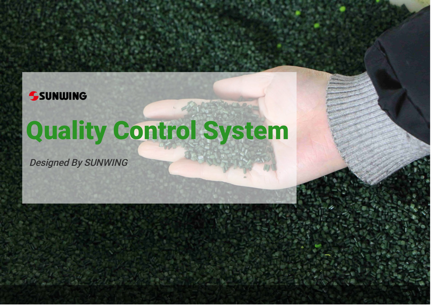**SSUNWING** 

# Quality Control System

Designed By SUNWING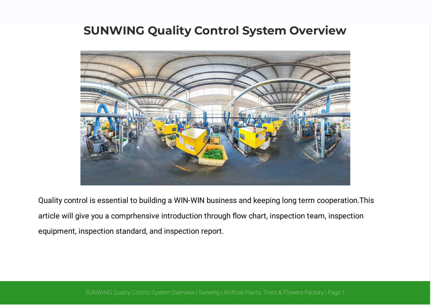### **SUNWING Quality Control System Overview**



Quality control is essential to building a WIN-WIN business and keeping long term cooperation.This article will give you a comprhensive introduction through flow chart, inspection team, inspection equipment, inspection standard, and inspection report.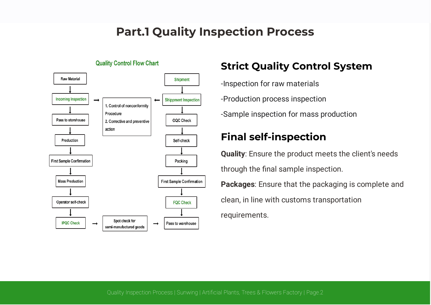# **Part.1 Quality Inspection Process**



#### **Quality Control Flow Chart**

### **Strict Quality Control System**

-Inspection for raw materials

-Production process inspection

-Sample inspection for mass production

#### **Final self-inspection**

Quality: Ensure the product meets the client's needs through the final sample inspection.

Packages: Ensure that the packaging is complete and clean, in line with customs transportation

requirements.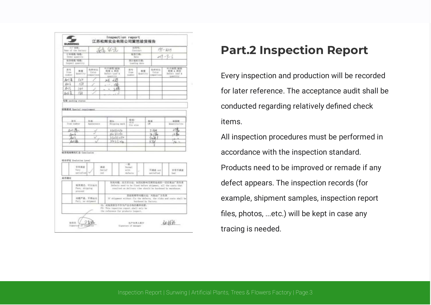|                                                | $T$ $R$<br>石气化泥<br>None of the factory |                                                                                |                       | 告页号:<br>Contract     | $197 - 8315$                |                                                                                                                           |
|------------------------------------------------|----------------------------------------|--------------------------------------------------------------------------------|-----------------------|----------------------|-----------------------------|---------------------------------------------------------------------------------------------------------------------------|
| ○ ※ 距数/卷板→                                     |                                        |                                                                                | 吸答形解:                 |                      | $207 - 9 - 6$               |                                                                                                                           |
| livier quantity<br>社会和数/卷数/                    |                                        |                                                                                |                       | Date:<br>预计监视 任期:    |                             |                                                                                                                           |
| Inspect quantity                               |                                        |                                                                                |                       | Leading date         |                             |                                                                                                                           |
| 发写<br>取业<br><b>Itims</b><br>Quantity<br>mation | 色样对比<br>Circuit<br><b>SOATTAOF</b>     | 叶方掉落/额报<br><b>视度 A. 原因</b><br>Definit Leaf &<br>quantity                       | 货号<br>11.00<br>matere | 数量<br>Quantity       | 色辉岩比<br>Calme<br>mpart Lair | 叶对掉医/减板<br>相度 4 周回<br>Bettern Jean &<br>questity                                                                          |
| 42.9<br>An I                                   |                                        | 盓<br>λĭ                                                                        |                       |                      |                             |                                                                                                                           |
| 168<br>$E = 1$                                 |                                        | rM-<br>1.11                                                                    |                       |                      |                             |                                                                                                                           |
| 知己<br>قتاع ا                                   |                                        | т                                                                              |                       |                      |                             |                                                                                                                           |
| 158<br>$4 - 17$                                |                                        |                                                                                |                       |                      |                             |                                                                                                                           |
| 包装 packing status                              |                                        |                                                                                |                       |                      |                             |                                                                                                                           |
|                                                |                                        |                                                                                |                       |                      |                             |                                                                                                                           |
| 特殊量术 Spotial requirement                       |                                        |                                                                                |                       |                      |                             |                                                                                                                           |
|                                                |                                        |                                                                                |                       |                      |                             |                                                                                                                           |
| 进址                                             | 后底                                     | 地头                                                                             | 95.18.7               |                      | 取准                          | 放纵数                                                                                                                       |
| Trim conher                                    | <b>Romeworkheim</b>                    | Shipping serk                                                                  | m<br>Ctn size         |                      | C                           | Quantits/rts                                                                                                              |
| $g_{\rm{rad}}$                                 |                                        | 45322432                                                                       |                       |                      | 7.314                       | 578                                                                                                                       |
| las b                                          |                                        | He H + 12                                                                      |                       |                      | 2. J.K                      |                                                                                                                           |
| ΔĿ                                             |                                        | $543357 + 14$                                                                  |                       |                      | 21.10                       |                                                                                                                           |
| 血云脑                                            |                                        | 1583236                                                                        |                       |                      | 274                         | 山                                                                                                                         |
|                                                |                                        |                                                                                |                       |                      |                             |                                                                                                                           |
| 输货属场情况汇总 Conclusion                            |                                        |                                                                                |                       |                      |                             |                                                                                                                           |
|                                                |                                        |                                                                                |                       |                      |                             |                                                                                                                           |
| 提会评定 Evalution Level                           |                                        |                                                                                | - 40                  |                      |                             |                                                                                                                           |
|                                                |                                        | <b>IR III</b>                                                                  | Burnet!<br>sith       |                      |                             |                                                                                                                           |
| を有調量                                           | $\overline{\phantom{a}}$               | Sat1x7<br>3ml                                                                  | defects               | ×                    | 不满意 not<br>satisfied.       | 总常不满意<br>limit                                                                                                            |
| Very:<br>metinfied                             |                                        |                                                                                |                       |                      |                             |                                                                                                                           |
| 鼻音通过                                           |                                        |                                                                                |                       |                      |                             | 化夹环糖、改正加出品、加固此影响交联的表情的一切后果由厂房负责                                                                                           |
|                                                |                                        |                                                                                |                       |                      |                             | Defects med to be fixed before shippent, all the costs that<br>resulted on delivery time should be burdened by excelence. |
|                                                | 数货通过,可以运出                              |                                                                                |                       |                      |                             |                                                                                                                           |
| produced                                       | Pass, shipping                         |                                                                                |                       |                      |                             |                                                                                                                           |
|                                                |                                        |                                                                                |                       |                      | 医老船期脊柱雕山起,从险由厂方负责           |                                                                                                                           |
|                                                | 科题严重。不再运出<br>Fall, no shipment         |                                                                                |                       | Incolumn by Tactors. |                             | If abigament without fis the defects, the risks and costs shall be                                                        |
|                                                |                                        | 往, 说知资源为不作为严品合格的最终活圈。                                                          |                       |                      |                             |                                                                                                                           |
|                                                |                                        | PS: This ispection report shall only be<br>the suference for products inspect. |                       |                      |                             |                                                                                                                           |

# **Part.2 Inspection Report**

Every inspection and production will be recorded for later reference. The acceptance audit shall be conducted regarding relatively defined check items.

All inspection procedures must be performed in accordance with the inspection standard. Products need to be improved or remade if any defect appears. The inspection records (for example, shipment samples, inspection report files, photos, ...etc.) will be kept in case any tracing is needed.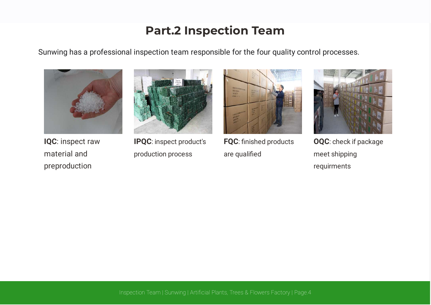# **Part.2 Inspection Team**

Sunwing has a professional inspection team responsible for the four quality control processes.



IQC: inspect raw material and preproduction



**IQC**: inspect raw **IPQC**: inspect product's **FQC**: finished products production process



are qualified



**FQC**: finished products **OQC**: check if package meet shipping requirments